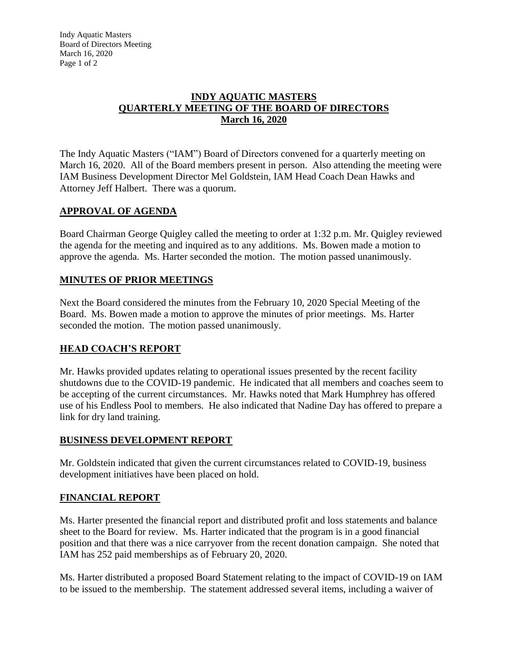Indy Aquatic Masters Board of Directors Meeting March 16, 2020 Page 1 of 2

### **INDY AQUATIC MASTERS QUARTERLY MEETING OF THE BOARD OF DIRECTORS March 16, 2020**

The Indy Aquatic Masters ("IAM") Board of Directors convened for a quarterly meeting on March 16, 2020. All of the Board members present in person. Also attending the meeting were IAM Business Development Director Mel Goldstein, IAM Head Coach Dean Hawks and Attorney Jeff Halbert. There was a quorum.

### **APPROVAL OF AGENDA**

Board Chairman George Quigley called the meeting to order at 1:32 p.m. Mr. Quigley reviewed the agenda for the meeting and inquired as to any additions. Ms. Bowen made a motion to approve the agenda. Ms. Harter seconded the motion. The motion passed unanimously.

### **MINUTES OF PRIOR MEETINGS**

Next the Board considered the minutes from the February 10, 2020 Special Meeting of the Board. Ms. Bowen made a motion to approve the minutes of prior meetings. Ms. Harter seconded the motion. The motion passed unanimously.

# **HEAD COACH'S REPORT**

Mr. Hawks provided updates relating to operational issues presented by the recent facility shutdowns due to the COVID-19 pandemic. He indicated that all members and coaches seem to be accepting of the current circumstances. Mr. Hawks noted that Mark Humphrey has offered use of his Endless Pool to members. He also indicated that Nadine Day has offered to prepare a link for dry land training.

### **BUSINESS DEVELOPMENT REPORT**

Mr. Goldstein indicated that given the current circumstances related to COVID-19, business development initiatives have been placed on hold.

### **FINANCIAL REPORT**

Ms. Harter presented the financial report and distributed profit and loss statements and balance sheet to the Board for review. Ms. Harter indicated that the program is in a good financial position and that there was a nice carryover from the recent donation campaign. She noted that IAM has 252 paid memberships as of February 20, 2020.

Ms. Harter distributed a proposed Board Statement relating to the impact of COVID-19 on IAM to be issued to the membership. The statement addressed several items, including a waiver of